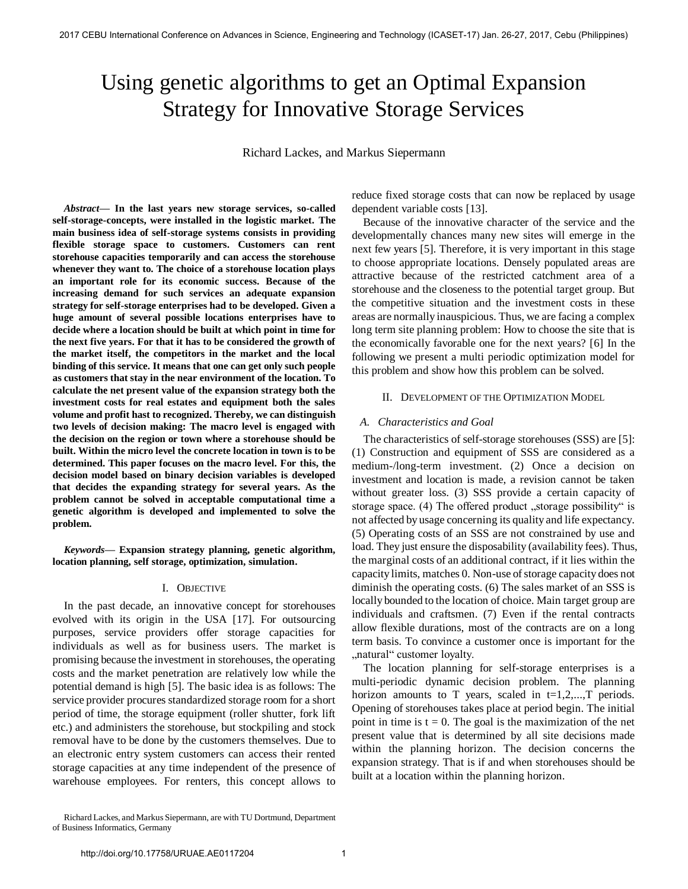# Using genetic algorithms to get an Optimal Expansion Strategy for Innovative Storage Services

Richard Lackes, and Markus Siepermann

*Abstract***— In the last years new storage services, so-called self-storage-concepts, were installed in the logistic market. The main business idea of self-storage systems consists in providing flexible storage space to customers. Customers can rent storehouse capacities temporarily and can access the storehouse whenever they want to. The choice of a storehouse location plays an important role for its economic success. Because of the increasing demand for such services an adequate expansion strategy for self-storage enterprises had to be developed. Given a huge amount of several possible locations enterprises have to decide where a location should be built at which point in time for the next five years. For that it has to be considered the growth of the market itself, the competitors in the market and the local binding of this service. It means that one can get only such people as customers that stay in the near environment of the location. To calculate the net present value of the expansion strategy both the investment costs for real estates and equipment both the sales volume and profit hast to recognized. Thereby, we can distinguish two levels of decision making: The macro level is engaged with the decision on the region or town where a storehouse should be built. Within the micro level the concrete location in town is to be determined. This paper focuses on the macro level. For this, the decision model based on binary decision variables is developed that decides the expanding strategy for several years. As the problem cannot be solved in acceptable computational time a genetic algorithm is developed and implemented to solve the problem.** 

*Keywords***— Expansion strategy planning, genetic algorithm, location planning, self storage, optimization, simulation.** 

#### I. OBJECTIVE

In the past decade, an innovative concept for storehouses evolved with its origin in the USA [17]. For outsourcing purposes, service providers offer storage capacities for individuals as well as for business users. The market is promising because the investment in storehouses, the operating costs and the market penetration are relatively low while the potential demand is high [5]. The basic idea is as follows: The service provider procures standardized storage room for a short period of time, the storage equipment (roller shutter, fork lift etc.) and administers the storehouse, but stockpiling and stock removal have to be done by the customers themselves. Due to an electronic entry system customers can access their rented storage capacities at any time independent of the presence of warehouse employees. For renters, this concept allows to reduce fixed storage costs that can now be replaced by usage dependent variable costs [13].

Because of the innovative character of the service and the developmentally chances many new sites will emerge in the next few years [5]. Therefore, it is very important in this stage to choose appropriate locations. Densely populated areas are attractive because of the restricted catchment area of a storehouse and the closeness to the potential target group. But the competitive situation and the investment costs in these areas are normally inauspicious. Thus, we are facing a complex long term site planning problem: How to choose the site that is the economically favorable one for the next years? [6] In the following we present a multi periodic optimization model for this problem and show how this problem can be solved.

#### II. DEVELOPMENT OF THE OPTIMIZATION MODEL

#### *A. Characteristics and Goal*

The characteristics of self-storage storehouses (SSS) are [5]: (1) Construction and equipment of SSS are considered as a medium-/long-term investment. (2) Once a decision on investment and location is made, a revision cannot be taken without greater loss. (3) SSS provide a certain capacity of storage space. (4) The offered product , storage possibility " is not affected by usage concerning its quality and life expectancy. (5) Operating costs of an SSS are not constrained by use and load. They just ensure the disposability (availability fees). Thus, the marginal costs of an additional contract, if it lies within the capacity limits, matches 0. Non-use of storage capacity does not diminish the operating costs. (6) The sales market of an SSS is locally bounded to the location of choice. Main target group are individuals and craftsmen. (7) Even if the rental contracts allow flexible durations, most of the contracts are on a long term basis. To convince a customer once is important for the "natural" customer loyalty.

The location planning for self-storage enterprises is a multi-periodic dynamic decision problem. The planning horizon amounts to T years, scaled in  $t=1,2,...,T$  periods. Opening of storehouses takes place at period begin. The initial point in time is  $t = 0$ . The goal is the maximization of the net present value that is determined by all site decisions made within the planning horizon. The decision concerns the expansion strategy. That is if and when storehouses should be built at a location within the planning horizon.

Richard Lackes, and Markus Siepermann, are with TU Dortmund, Department of Business Informatics, Germany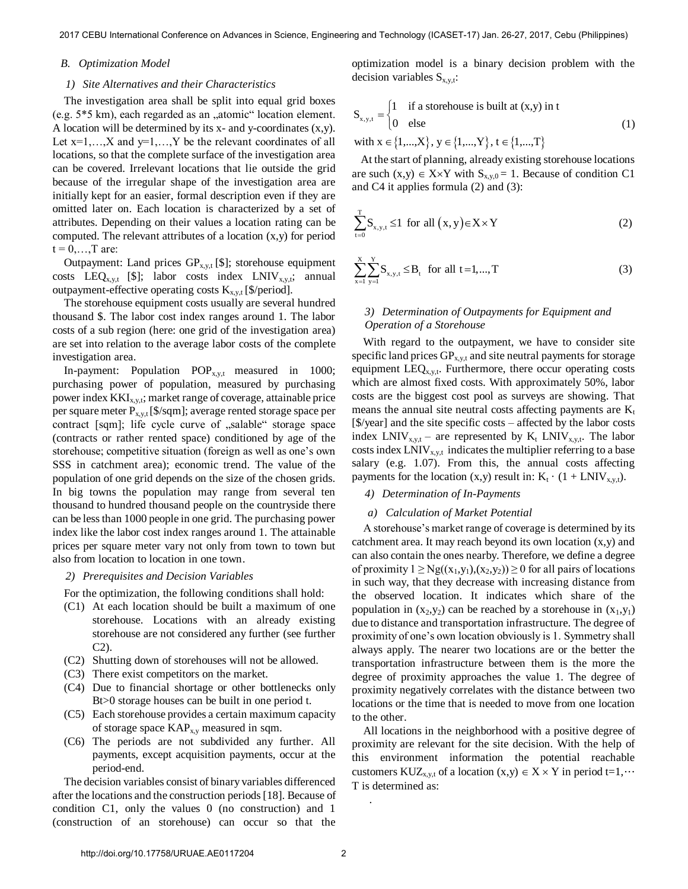## *B. Optimization Model*

## *1) Site Alternatives and their Characteristics*

The investigation area shall be split into equal grid boxes (e.g.  $5*5 \text{ km}$ ), each regarded as an "atomic" location element. A location will be determined by its x- and y-coordinates (x,y). Let  $x=1,...,X$  and  $y=1,...,Y$  be the relevant coordinates of all locations, so that the complete surface of the investigation area can be covered. Irrelevant locations that lie outside the grid because of the irregular shape of the investigation area are initially kept for an easier, formal description even if they are omitted later on. Each location is characterized by a set of attributes. Depending on their values a location rating can be computed. The relevant attributes of a location (x,y) for period  $t = 0, \ldots, T$  are:

Outpayment: Land prices  $GP_{x,y,t}$  [\$]; storehouse equipment costs LEQ<sub>x,y,t</sub> [\$]; labor costs index LNIV<sub>x,y,t</sub>; annual outpayment-effective operating costs  $K_{x,y,t}$  [\$/period].

The storehouse equipment costs usually are several hundred thousand \$. The labor cost index ranges around 1. The labor costs of a sub region (here: one grid of the investigation area) are set into relation to the average labor costs of the complete investigation area.

In-payment: Population  $POP_{x,y,t}$  measured in 1000; purchasing power of population, measured by purchasing power index  $KKI_{x,y,t}$ ; market range of coverage, attainable price per square meter  $P_{x,y,t}$  [\$/sqm]; average rented storage space per contract [sqm]; life cycle curve of "salable" storage space (contracts or rather rented space) conditioned by age of the storehouse; competitive situation (foreign as well as one's own SSS in catchment area); economic trend. The value of the population of one grid depends on the size of the chosen grids. In big towns the population may range from several ten thousand to hundred thousand people on the countryside there can be less than 1000 people in one grid. The purchasing power index like the labor cost index ranges around 1. The attainable prices per square meter vary not only from town to town but also from location to location in one town.

*2) Prerequisites and Decision Variables* 

For the optimization, the following conditions shall hold:

- (C1) At each location should be built a maximum of one storehouse. Locations with an already existing storehouse are not considered any further (see further C2).
- (C2) Shutting down of storehouses will not be allowed.
- (C3) There exist competitors on the market.
- (C4) Due to financial shortage or other bottlenecks only Bt>0 storage houses can be built in one period t.
- (C5) Each storehouse provides a certain maximum capacity of storage space  $KAP_{x,y}$  measured in sqm.
- (C6) The periods are not subdivided any further. All payments, except acquisition payments, occur at the period-end.

The decision variables consist of binary variables differenced after the locations and the construction periods [18]. Because of condition C1, only the values 0 (no construction) and 1 (construction of an storehouse) can occur so that the

optimization model is a binary decision problem with the decision variables  $S_{x,y,t}$ :

$$
S_{x,y,t} = \begin{cases} 1 & \text{if a storehouse is built at } (x,y) \text{ in } t \\ 0 & \text{else} \end{cases}
$$
  
with  $x \in \{1,...,X\}$ ,  $y \in \{1,...,Y\}$ ,  $t \in \{1,...,T\}$  (1)

 At the start of planning, already existing storehouse locations are such  $(x,y) \in X \times Y$  with  $S_{x,y,0} = 1$ . Because of condition C1 and C4 it applies formula (2) and (3):

$$
\sum_{t=0}^{T} S_{x,y,t} \le 1 \text{ for all } (x,y) \in X \times Y \tag{2}
$$

$$
\sum_{x=1}^{X} \sum_{y=1}^{Y} S_{x,y,t} \leq B_t \text{ for all } t = 1,...,T
$$
 (3)

# *3) Determination of Outpayments for Equipment and Operation of a Storehouse*

With regard to the outpayment, we have to consider site specific land prices  $GP_{x,y,t}$  and site neutral payments for storage equipment  $LEQ_{x,y,t}$ . Furthermore, there occur operating costs which are almost fixed costs. With approximately 50%, labor costs are the biggest cost pool as surveys are showing. That means the annual site neutral costs affecting payments are  $K_t$ [\$/year] and the site specific costs – affected by the labor costs index  $LNIV_{x,y,t}$  – are represented by  $K_t$   $LNIV_{x,y,t}$ . The labor costs index  $LNIV_{x,y,t}$  indicates the multiplier referring to a base salary (e.g. 1.07). From this, the annual costs affecting payments for the location  $(x,y)$  result in:  $K_t \cdot (1 + LNIV_{x,y,t}).$ 

## *4) Determination of In-Payments*

#### *a) Calculation of Market Potential*

A storehouse's market range of coverage is determined by its catchment area. It may reach beyond its own location (x,y) and can also contain the ones nearby. Therefore, we define a degree of proximity  $1 \ge Ng((x_1,y_1),(x_2,y_2)) \ge 0$  for all pairs of locations in such way, that they decrease with increasing distance from the observed location. It indicates which share of the population in  $(x_2,y_2)$  can be reached by a storehouse in  $(x_1,y_1)$ due to distance and transportation infrastructure. The degree of proximity of one's own location obviously is 1. Symmetry shall always apply. The nearer two locations are or the better the transportation infrastructure between them is the more the degree of proximity approaches the value 1. The degree of proximity negatively correlates with the distance between two locations or the time that is needed to move from one location to the other.

All locations in the neighborhood with a positive degree of proximity are relevant for the site decision. With the help of this environment information the potential reachable customers KUZ<sub>x,v,t</sub> of a location  $(x,y) \in X \times Y$  in period t=1,… T is determined as:

.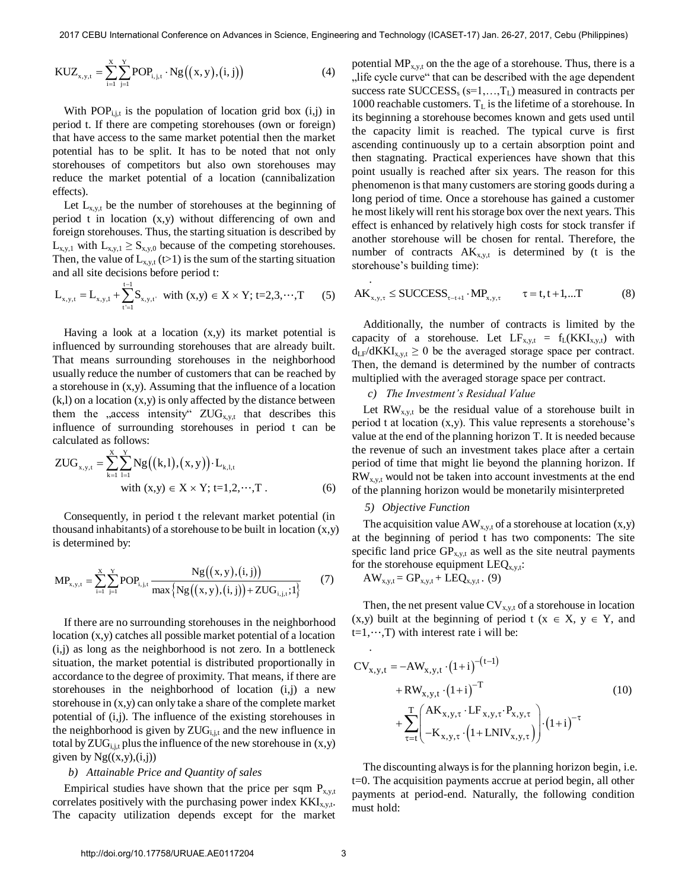.

$$
KUZ_{x,y,t} = \sum_{i=1}^{X} \sum_{j=1}^{Y} POP_{i,j,t} \cdot Ng((x,y),(i,j))
$$
(4)

With  $POP_{i,j,t}$  is the population of location grid box  $(i,j)$  in period t. If there are competing storehouses (own or foreign) that have access to the same market potential then the market potential has to be split. It has to be noted that not only storehouses of competitors but also own storehouses may reduce the market potential of a location (cannibalization effects).

Let  $L_{x,y,t}$  be the number of storehouses at the beginning of period t in location (x,y) without differencing of own and foreign storehouses. Thus, the starting situation is described by  $L_{x,y,1}$  with  $L_{x,y,1} \ge S_{x,y,0}$  because of the competing storehouses. Then, the value of  $L_{x,y,t}$  (t>1) is the sum of the starting situation and all site decisions before period t:

$$
L_{x,y,t} = L_{x,y,1} + \sum_{t=1}^{t-1} S_{x,y,t'} \text{ with } (x,y) \in X \times Y; t=2,3,\dots,T \qquad (5)
$$

Having a look at a location (x,y) its market potential is influenced by surrounding storehouses that are already built. That means surrounding storehouses in the neighborhood usually reduce the number of customers that can be reached by a storehouse in (x,y). Assuming that the influence of a location  $(k, l)$  on a location  $(x, y)$  is only affected by the distance between them the "access intensity"  $ZUG_{x,y,t}$  that describes this influence of surrounding storehouses in period t can be calculated as follows:

calculated as follows:  
\n
$$
ZUG_{x,y,t} = \sum_{k=1}^{X} \sum_{l=1}^{Y} Ng((k,l),(x,y)) \cdot L_{k,l,t}
$$
\nwith  $(x,y) \in X \times Y$ ; t=1,2,...,T. (6)

Consequently, in period t the relevant market potential (in thousand inhabitants) of a storehouse to be built in location  $(x,y)$ is determined by:

$$
MP_{x,y,t} = \sum_{i=1}^{x} \sum_{j=1}^{y} POP_{i,j,t} \frac{Ng((x,y),(i,j))}{max{Ng((x,y),(i,j))} + ZUG_{i,j,t};1}
$$
 (7)

If there are no surrounding storehouses in the neighborhood location (x,y) catches all possible market potential of a location (i,j) as long as the neighborhood is not zero. In a bottleneck situation, the market potential is distributed proportionally in accordance to the degree of proximity. That means, if there are storehouses in the neighborhood of location (i,j) a new storehouse in (x,y) can only take a share of the complete market potential of (i,j). The influence of the existing storehouses in the neighborhood is given by  $ZUG<sub>i,i,t</sub>$  and the new influence in total by  $ZUG_{i,j,t}$  plus the influence of the new storehouse in  $(x,y)$ given by  $Ng((x,y),(i,j))$ 

#### *b) Attainable Price and Quantity of sales*

Empirical studies have shown that the price per sqm  $P_{x,y,t}$ correlates positively with the purchasing power index  $KKI_{x,y,t}$ . The capacity utilization depends except for the market potential  $MP_{x,y,t}$  on the the age of a storehouse. Thus, there is a life cycle curve that can be described with the age dependent success rate  $\text{SUCCES}_s$  (s=1,...,T<sub>L</sub>) measured in contracts per 1000 reachable customers.  $T_L$  is the lifetime of a storehouse. In its beginning a storehouse becomes known and gets used until the capacity limit is reached. The typical curve is first ascending continuously up to a certain absorption point and then stagnating. Practical experiences have shown that this point usually is reached after six years. The reason for this phenomenon is that many customers are storing goods during a long period of time. Once a storehouse has gained a customer he most likely will rent his storage box over the next years. This effect is enhanced by relatively high costs for stock transfer if another storehouse will be chosen for rental. Therefore, the number of contracts  $AK_{x,y,t}$  is determined by (t is the storehouse's building time):

$$
\begin{aligned}\n\therefore \\
\text{AK}_{x,y,\tau} \le \text{SUCCESS}_{\tau-t+1} \cdot \text{MP}_{x,y,\tau} \qquad \tau = t, t+1, \dots \text{T}\n\end{aligned} \tag{8}
$$

Additionally, the number of contracts is limited by the capacity of a storehouse. Let  $LF_{x,y,t} = f_L(KKI_{x,y,t})$  with  $d_{LF}/dKKI_{x,y,t} \geq 0$  be the averaged storage space per contract. Then, the demand is determined by the number of contracts multiplied with the averaged storage space per contract.

## *c) The Investment's Residual Value*

Let  $RW_{x,y,t}$  be the residual value of a storehouse built in period t at location (x,y). This value represents a storehouse's value at the end of the planning horizon T. It is needed because the revenue of such an investment takes place after a certain period of time that might lie beyond the planning horizon. If  $RW_{x,y,t}$  would not be taken into account investments at the end of the planning horizon would be monetarily misinterpreted

### *5) Objective Function*

The acquisition value  $AW_{x,y,t}$  of a storehouse at location  $(x,y)$ at the beginning of period t has two components: The site specific land price  $GP_{x,y,t}$  as well as the site neutral payments for the storehouse equipment  $LEQ_{x,y,t}$ :

$$
AW_{x,y,t} = GP_{x,y,t} + LEQ_{x,y,t} . (9)
$$

Then, the net present value  $CV_{x,y,t}$  of a storehouse in location  $(x,y)$  built at the beginning of period t  $(x \in X, y \in Y, \text{ and})$  $t=1,\dots,T$ ) with interest rate i will be:

$$
CV_{x,y,t} = -AW_{x,y,t} \cdot (1+i)^{-(t-1)} + RW_{x,y,t} \cdot (1+i)^{-T}
$$
\n
$$
+ \sum_{\tau=t}^{T} \begin{pmatrix} AK_{x,y,\tau} \cdot LF_{x,y,\tau} \cdot P_{x,y,\tau} \\ -K_{x,y,\tau} \cdot (1+LNIV_{x,y,\tau}) \end{pmatrix} \cdot (1+i)^{-\tau}
$$
\n(10)

The discounting always is for the planning horizon begin, i.e. t=0. The acquisition payments accrue at period begin, all other payments at period-end. Naturally, the following condition must hold:

.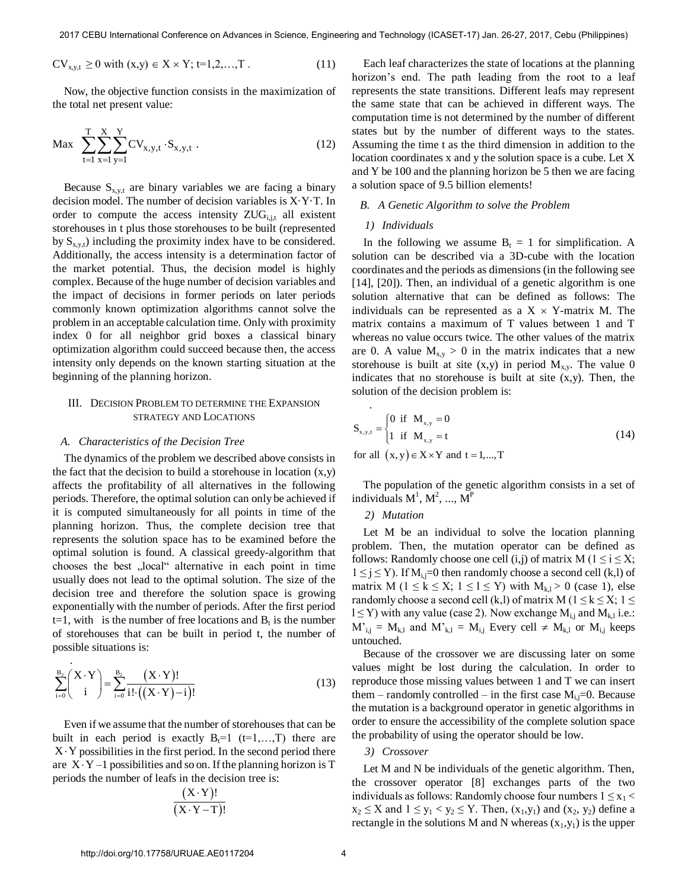$$
CV_{x,y,t} \ge 0 \text{ with } (x,y) \in X \times Y; t=1,2,...,T. \tag{11}
$$

Now, the objective function consists in the maximization of the total net present value:

$$
\text{Max} \quad \sum_{t=1}^{T} \sum_{x=1}^{X} \sum_{y=1}^{Y} CV_{x,y,t} \cdot S_{x,y,t} \tag{12}
$$

Because  $S_{x,y,t}$  are binary variables we are facing a binary decision model. The number of decision variables is X·Y·T. In order to compute the access intensity  $ZUG<sub>i,j,t</sub>$  all existent storehouses in t plus those storehouses to be built (represented by  $S_{x,v,t}$ ) including the proximity index have to be considered. Additionally, the access intensity is a determination factor of the market potential. Thus, the decision model is highly complex. Because of the huge number of decision variables and the impact of decisions in former periods on later periods commonly known optimization algorithms cannot solve the problem in an acceptable calculation time. Only with proximity index 0 for all neighbor grid boxes a classical binary optimization algorithm could succeed because then, the access intensity only depends on the known starting situation at the beginning of the planning horizon.

# III. DECISION PROBLEM TO DETERMINE THE EXPANSION STRATEGY AND LOCATIONS

#### *A. Characteristics of the Decision Tree*

.

The dynamics of the problem we described above consists in the fact that the decision to build a storehouse in location  $(x,y)$ affects the profitability of all alternatives in the following periods. Therefore, the optimal solution can only be achieved if it is computed simultaneously for all points in time of the planning horizon. Thus, the complete decision tree that represents the solution space has to be examined before the optimal solution is found. A classical greedy-algorithm that chooses the best "local" alternative in each point in time usually does not lead to the optimal solution. The size of the decision tree and therefore the solution space is growing exponentially with the number of periods. After the first period  $t=1$ , with is the number of free locations and  $B_t$  is the number of storehouses that can be built in period t, the number of possible situations is:

$$
\sum_{i=0}^{B_2} \left( \frac{X \cdot Y}{i} \right) = \sum_{i=0}^{B_2} \frac{(X \cdot Y)!}{i! \cdot \left( (X \cdot Y) - i \right)!}
$$
(13)

Even if we assume that the number of storehouses that can be built in each period is exactly  $B_t=1$  (t=1,...,T) there are  $X \cdot Y$  possibilities in the first period. In the second period there are  $X \cdot Y - 1$  possibilities and so on. If the planning horizon is T periods the number of leafs in the decision tree is:

$$
\frac{(X \cdot Y)!}{(X \cdot Y - T)!}
$$

Each leaf characterizes the state of locations at the planning horizon's end. The path leading from the root to a leaf represents the state transitions. Different leafs may represent the same state that can be achieved in different ways. The computation time is not determined by the number of different states but by the number of different ways to the states. Assuming the time t as the third dimension in addition to the location coordinates x and y the solution space is a cube. Let X and Y be 100 and the planning horizon be 5 then we are facing a solution space of 9.5 billion elements!

## *B. A Genetic Algorithm to solve the Problem*

#### *1) Individuals*

In the following we assume  $B_t = 1$  for simplification. A solution can be described via a 3D-cube with the location coordinates and the periods as dimensions (in the following see [14], [20]). Then, an individual of a genetic algorithm is one solution alternative that can be defined as follows: The individuals can be represented as a  $X \times Y$ -matrix M. The matrix contains a maximum of T values between 1 and T whereas no value occurs twice. The other values of the matrix are 0. A value  $M_{x,y} > 0$  in the matrix indicates that a new storehouse is built at site  $(x,y)$  in period  $M_{x,y}$ . The value 0 indicates that no storehouse is built at site  $(x,y)$ . Then, the solution of the decision problem is:

$$
S_{x,y,t} = \begin{cases} 0 & \text{if } M_{x,y} = 0 \\ 1 & \text{if } M_{x,y} = t \end{cases}
$$
  
for all  $(x,y) \in X \times Y$  and  $t = 1,...,T$  (14)

The population of the genetic algorithm consists in a set of individuals  $M^1$ ,  $M^2$ , ...,  $M^P$ 

# *2) Mutation*

.

Let M be an individual to solve the location planning problem. Then, the mutation operator can be defined as follows: Randomly choose one cell (i,j) of matrix  $M$  ( $1 \le i \le X$ ;  $1 \le j \le Y$ ). If  $M_{i,j}=0$  then randomly choose a second cell (k,l) of matrix M ( $1 \le k \le X$ ;  $1 \le l \le Y$ ) with  $M_{k,l} > 0$  (case 1), else randomly choose a second cell (k,l) of matrix M ( $1 \le k \le X$ ;  $1 \le$  $l \le Y$ ) with any value (case 2). Now exchange  $M_{i,j}$  and  $M_{k,l}$  i.e.:  $M'_{i,j} = M_{k,l}$  and  $M'_{k,l} = M_{i,j}$  Every cell  $\neq M_{k,l}$  or  $M_{i,j}$  keeps untouched.

Because of the crossover we are discussing later on some values might be lost during the calculation. In order to reproduce those missing values between 1 and T we can insert them – randomly controlled – in the first case  $M_{i,j}=0$ . Because the mutation is a background operator in genetic algorithms in order to ensure the accessibility of the complete solution space the probability of using the operator should be low.

#### *3) Crossover*

Let M and N be individuals of the genetic algorithm. Then, the crossover operator [8] exchanges parts of the two individuals as follows: Randomly choose four numbers  $1 \le x_1$  <  $x_2 \leq X$  and  $1 \leq y_1 < y_2 \leq Y$ . Then,  $(x_1, y_1)$  and  $(x_2, y_2)$  define a rectangle in the solutions M and N whereas  $(x_1,y_1)$  is the upper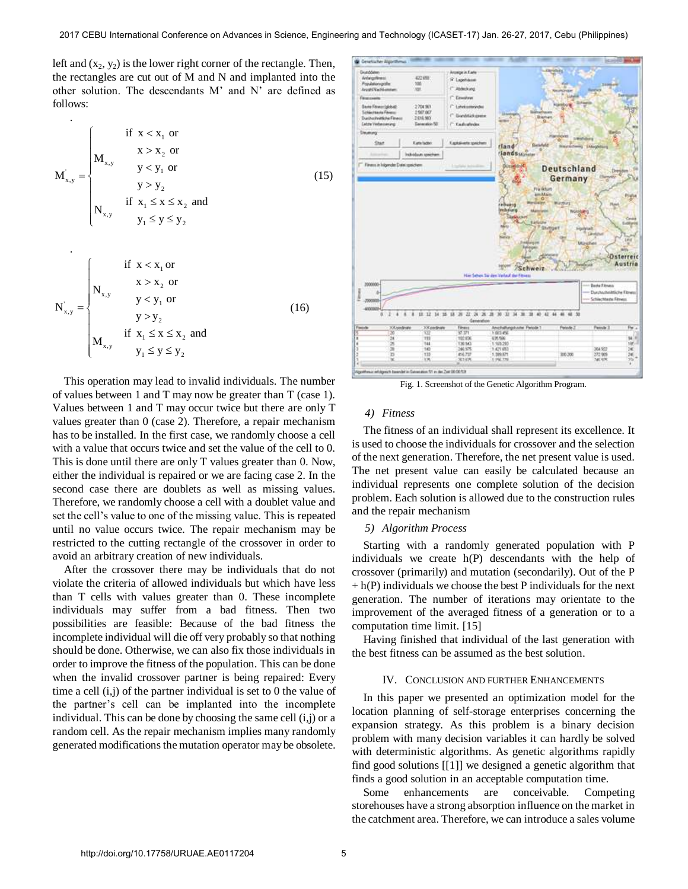left and  $(x_2, y_2)$  is the lower right corner of the rectangle. Then, the rectangles are cut out of  $M$  and  $N$  and implanted into the other solution. The descendants M' and N' are defined as follows:

$$
\mathbf{M}_{x,y}^{'} = \begin{cases} \n\text{if } x < x_1 \text{ or} \\
\mathbf{M}_{x,y} & y < y_1 \text{ or} \\
& y > y_2 \\
\text{if } x_1 \le x \le x_2 \text{ and} \\
\mathbf{N}_{x,y} & y_1 \le y \le y_2\n\end{cases} \tag{15}
$$

$$
N'_{x,y} = \begin{cases} \n\text{if } x < x_1 \text{ or} \\
N_{x,y} & y < y_1 \text{ or} \\
y > y_2 \\
\text{if } x_1 \le x \le x_2 \text{ and} \\
y_1 \le y \le y_2\n\end{cases} \tag{16}
$$

This operation may lead to invalid individuals. The number of values between 1 and T may now be greater than T (case 1). Values between 1 and T may occur twice but there are only T values greater than 0 (case 2). Therefore, a repair mechanism has to be installed. In the first case, we randomly choose a cell with a value that occurs twice and set the value of the cell to 0. This is done until there are only T values greater than 0. Now, either the individual is repaired or we are facing case 2. In the second case there are doublets as well as missing values. Therefore, we randomly choose a cell with a doublet value and set the cell's value to one of the missing value. This is repeated until no value occurs twice. The repair mechanism may be restricted to the cutting rectangle of the crossover in order to avoid an arbitrary creation of new individuals.

After the crossover there may be individuals that do not violate the criteria of allowed individuals but which have less than T cells with values greater than 0. These incomplete individuals may suffer from a bad fitness. Then two possibilities are feasible: Because of the bad fitness the incomplete individual will die off very probably so that nothing should be done. Otherwise, we can also fix those individuals in order to improve the fitness of the population. This can be done when the invalid crossover partner is being repaired: Every time a cell  $(i,j)$  of the partner individual is set to 0 the value of the partner's cell can be implanted into the incomplete individual. This can be done by choosing the same cell  $(i,j)$  or a random cell. As the repair mechanism implies many randomly generated modifications the mutation operator may be obsolete.



Fig. 1. Screenshot of the Genetic Algorithm Program.

## *4) Fitness*

The fitness of an individual shall represent its excellence. It is used to choose the individuals for crossover and the selection of the next generation. Therefore, the net present value is used. The net present value can easily be calculated because an individual represents one complete solution of the decision problem. Each solution is allowed due to the construction rules and the repair mechanism

## *5) Algorithm Process*

Starting with a randomly generated population with P individuals we create h(P) descendants with the help of crossover (primarily) and mutation (secondarily). Out of the P  $+ h(P)$  individuals we choose the best P individuals for the next generation. The number of iterations may orientate to the improvement of the averaged fitness of a generation or to a computation time limit. [15]

Having finished that individual of the last generation with the best fitness can be assumed as the best solution.

## IV. CONCLUSION AND FURTHER ENHANCEMENTS

In this paper we presented an optimization model for the location planning of self-storage enterprises concerning the expansion strategy. As this problem is a binary decision problem with many decision variables it can hardly be solved with deterministic algorithms. As genetic algorithms rapidly find good solutions [[1]] we designed a genetic algorithm that finds a good solution in an acceptable computation time.

Some enhancements are conceivable. Competing storehouses have a strong absorption influence on the market in the catchment area. Therefore, we can introduce a sales volume